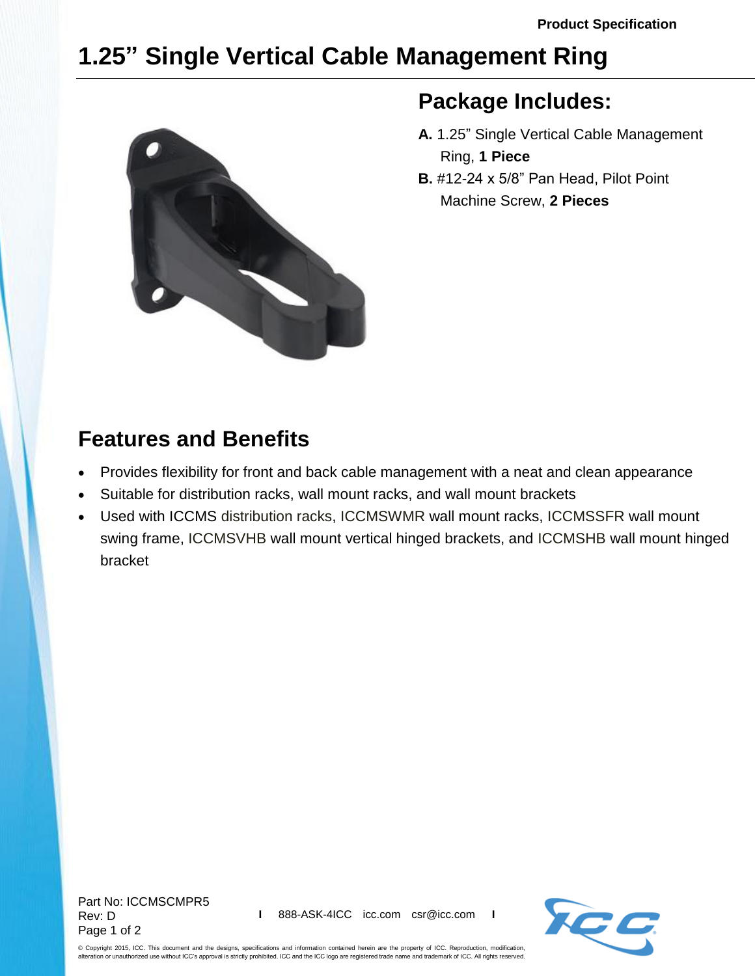## **1.25" Single Vertical Cable Management Ring**



## **Package Includes:**

- **A.** 1.25" Single Vertical Cable Management Ring, **1 Piece**
- **B.** #12-24 x 5/8" Pan Head, Pilot Point Machine Screw, **2 Pieces**

## **Features and Benefits**

- Provides flexibility for front and back cable management with a neat and clean appearance
- Suitable for distribution racks, wall mount racks, and wall mount brackets
- Used with ICCMS [distribution racks,](http://www.icc.com/c/50/distribution-racks-accessories) [ICCMSWMR](http://www.icc.com/c/210/fixed-frame-wall-mount-racks) wall mount racks, [ICCMSSFR](http://www.icc.com/c/211/swing-gate) wall mount swing frame, [ICCMSVHB](http://www.icc.com/c/209/hinged-wall-mount-brackets) wall mount vertical hinged brackets, and [ICCMSHB](http://www.icc.com/c/209/hinged-wall-mount-brackets) wall mount hinged bracket



© Copyright 2015, ICC. This document and the designs, specifications and information contained herein are the property of ICC. Reproduction, modification, alteration or unauthorized use without ICC's approval is strictly prohibited. ICC and the ICC logo are registered trade name and trademark of ICC. All rights reserved.